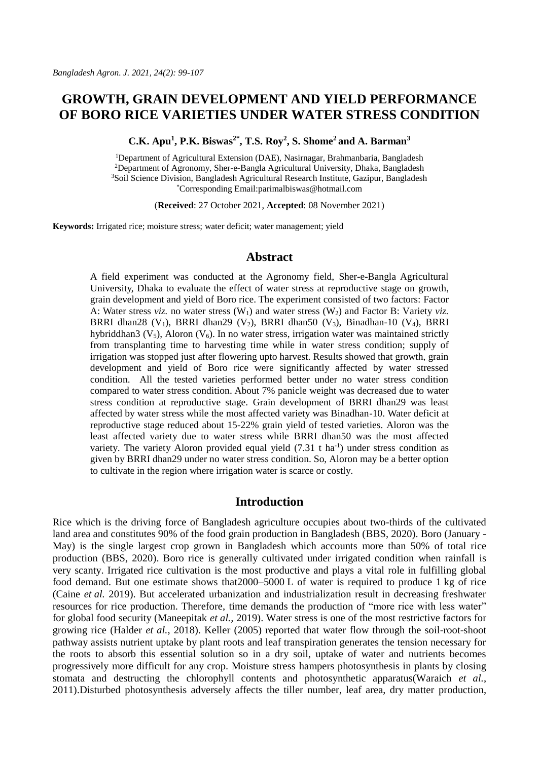# **GROWTH, GRAIN DEVELOPMENT AND YIELD PERFORMANCE OF BORO RICE VARIETIES UNDER WATER STRESS CONDITION**

**C.K. Apu<sup>1</sup> , P.K. Biswas2\* , T.S. Roy<sup>2</sup> , S. Shome<sup>2</sup>and A. Barman<sup>3</sup>**

<sup>1</sup>Department of Agricultural Extension (DAE), Nasirnagar, Brahmanbaria, Bangladesh <sup>2</sup>Department of Agronomy, Sher-e-Bangla Agricultural University, Dhaka, Bangladesh <sup>3</sup>Soil Science Division, Bangladesh Agricultural Research Institute, Gazipur, Bangladesh \*Corresponding Email[:parimalbiswas@hotmail.com](mailto:parimalbiswas@hotmail.com)

(**Received**: 27 October 2021, **Accepted**: 08 November 2021)

**Keywords:** Irrigated rice; moisture stress; water deficit; water management; yield

# **Abstract**

A field experiment was conducted at the Agronomy field, Sher-e-Bangla Agricultural University, Dhaka to evaluate the effect of water stress at reproductive stage on growth, grain development and yield of Boro rice. The experiment consisted of two factors: Factor A: Water stress *viz.* no water stress  $(W_1)$  and water stress  $(W_2)$  and Factor B: Variety *viz.* BRRI dhan28 (V<sub>1</sub>), BRRI dhan29 (V<sub>2</sub>), BRRI dhan50 (V<sub>3</sub>), Binadhan-10 (V<sub>4</sub>), BRRI hybriddhan3 ( $V_5$ ), Aloron ( $V_6$ ). In no water stress, irrigation water was maintained strictly from transplanting time to harvesting time while in water stress condition; supply of irrigation was stopped just after flowering upto harvest. Results showed that growth, grain development and yield of Boro rice were significantly affected by water stressed condition. All the tested varieties performed better under no water stress condition compared to water stress condition. About 7% panicle weight was decreased due to water stress condition at reproductive stage. Grain development of BRRI dhan29 was least affected by water stress while the most affected variety was Binadhan-10. Water deficit at reproductive stage reduced about 15-22% grain yield of tested varieties. Aloron was the least affected variety due to water stress while BRRI dhan50 was the most affected variety. The variety Aloron provided equal yield  $(7.31 \text{ t ha}^{-1})$  under stress condition as given by BRRI dhan29 under no water stress condition. So, Aloron may be a better option to cultivate in the region where irrigation water is scarce or costly.

# **Introduction**

Rice which is the driving force of Bangladesh agriculture occupies about two-thirds of the cultivated land area and constitutes 90% of the food grain production in Bangladesh (BBS, 2020). Boro (January - May) is the single largest crop grown in Bangladesh which accounts more than 50% of total rice production (BBS, 2020). Boro rice is generally cultivated under irrigated condition when rainfall is very scanty. Irrigated rice cultivation is the most productive and plays a vital role in fulfilling global food demand. But one estimate shows that2000–5000 L of water is required to produce 1 kg of rice (Caine *et al.* 2019). But accelerated urbanization and industrialization result in decreasing freshwater resources for rice production. Therefore, time demands the production of "more rice with less water" for global food security (Maneepitak *et al.,* 2019). Water stress is one of the most restrictive factors for growing rice (Halder *et al.*, 2018). Keller (2005) reported that water flow through the soil-root-shoot pathway assists nutrient uptake by plant roots and leaf transpiration generates the tension necessary for the roots to absorb this essential solution so in a dry soil, uptake of water and nutrients becomes progressively more difficult for any crop. Moisture stress hampers photosynthesis in plants by closing stomata and destructing the chlorophyll contents and photosynthetic apparatus(Waraich *et al.*, 2011).Disturbed photosynthesis adversely affects the tiller number, leaf area, dry matter production,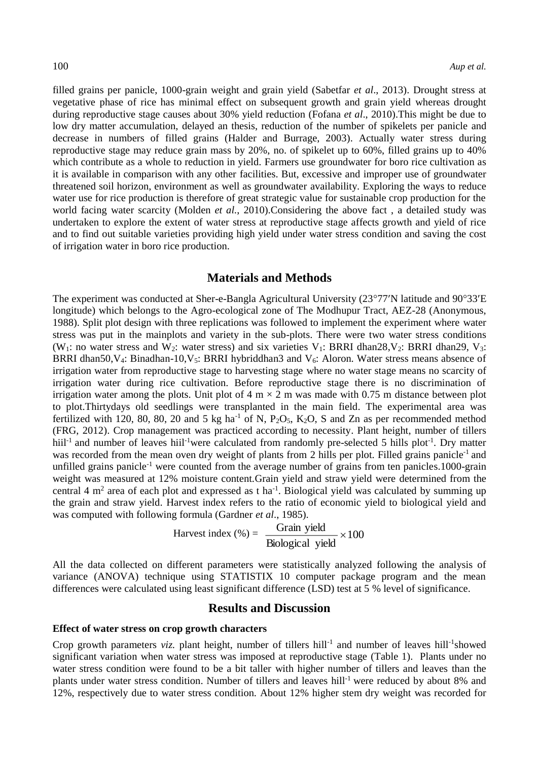filled grains per panicle, 1000-grain weight and grain yield (Sabetfar *et al*., 2013). Drought stress at vegetative phase of rice has minimal effect on subsequent growth and grain yield whereas drought during reproductive stage causes about 30% yield reduction (Fofana *et al*., 2010).This might be due to low dry matter accumulation, delayed an thesis, reduction of the number of spikelets per panicle and decrease in numbers of filled grains (Halder and Burrage, 2003). Actually water stress during reproductive stage may reduce grain mass by 20%, no. of spikelet up to 60%, filled grains up to 40% which contribute as a whole to reduction in yield. Farmers use groundwater for boro rice cultivation as it is available in comparison with any other facilities. But, excessive and improper use of groundwater threatened soil horizon, environment as well as groundwater availability. Exploring the ways to reduce water use for rice production is therefore of great strategic value for sustainable crop production for the world facing water scarcity (Molden *et al.*, 2010).Considering the above fact , a detailed study was undertaken to explore the extent of water stress at reproductive stage affects growth and yield of rice and to find out suitable varieties providing high yield under water stress condition and saving the cost of irrigation water in boro rice production.

### **Materials and Methods**

The experiment was conducted at Sher-e-Bangla Agricultural University ( $23^{\circ}77'N$  latitude and  $90^{\circ}33'E$ longitude) which belongs to the Agro-ecological zone of The Modhupur Tract, AEZ-28 (Anonymous, 1988). Split plot design with three replications was followed to implement the experiment where water stress was put in the mainplots and variety in the sub-plots. There were two water stress conditions (W<sub>1</sub>: no water stress and W<sub>2</sub>: water stress) and six varieties V<sub>1</sub>: BRRI dhan28,V<sub>2</sub>: BRRI dhan29, V<sub>3</sub>: BRRI dhan50, V<sub>4</sub>: Binadhan-10, V<sub>5</sub>: BRRI hybriddhan3 and V<sub>6</sub>: Aloron. Water stress means absence of irrigation water from reproductive stage to harvesting stage where no water stage means no scarcity of irrigation water during rice cultivation. Before reproductive stage there is no discrimination of irrigation water among the plots. Unit plot of  $4 \text{ m} \times 2 \text{ m}$  was made with 0.75 m distance between plot to plot.Thirtydays old seedlings were transplanted in the main field. The experimental area was fertilized with 120, 80, 80, 20 and 5 kg ha<sup>-1</sup> of N, P<sub>2</sub>O<sub>5</sub>, K<sub>2</sub>O, S and Zn as per recommended method (FRG, 2012). Crop management was practiced according to necessity. Plant height, number of tillers hiil<sup>-1</sup> and number of leaves hiil<sup>-1</sup>were calculated from randomly pre-selected 5 hills plot<sup>-1</sup>. Dry matter was recorded from the mean oven dry weight of plants from 2 hills per plot. Filled grains panicle<sup>-1</sup> and unfilled grains panicle<sup>-1</sup> were counted from the average number of grains from ten panicles.1000-grain weight was measured at 12% moisture content.Grain yield and straw yield were determined from the central 4  $m<sup>2</sup>$  area of each plot and expressed as t ha<sup>-1</sup>. Biological yield was calculated by summing up the grain and straw yield. Harvest index refers to the ratio of economic yield to biological yield and was computed with following formula (Gardner *et al*., 1985).

Harvest index (%) = 
$$
\frac{Grain yield}{Biological yield} \times 100
$$

All the data collected on different parameters were statistically analyzed following the analysis of variance (ANOVA) technique using STATISTIX 10 computer package program and the mean differences were calculated using least significant difference (LSD) test at 5 % level of significance.

## **Results and Discussion**

#### **Effect of water stress on crop growth characters**

Crop growth parameters viz. plant height, number of tillers hill<sup>-1</sup> and number of leaves hill<sup>-1</sup>showed significant variation when water stress was imposed at reproductive stage (Table 1). Plants under no water stress condition were found to be a bit taller with higher number of tillers and leaves than the plants under water stress condition. Number of tillers and leaves hill-1 were reduced by about 8% and 12%, respectively due to water stress condition. About 12% higher stem dry weight was recorded for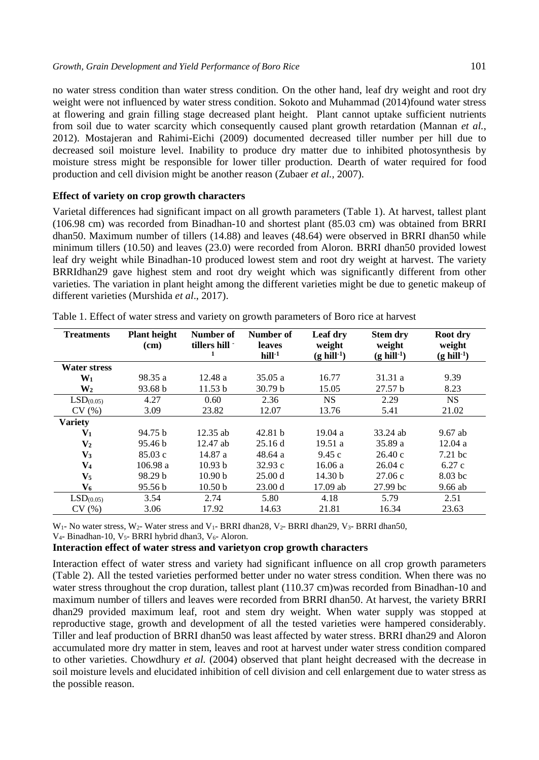no water stress condition than water stress condition. On the other hand, leaf dry weight and root dry weight were not influenced by water stress condition. Sokoto and Muhammad (2014)found water stress at flowering and grain filling stage decreased plant height. Plant cannot uptake sufficient nutrients from soil due to water scarcity which consequently caused plant growth retardation (Mannan *et al.*, 2012). Mostajeran and Rahimi-Eichi (2009) documented decreased tiller number per hill due to decreased soil moisture level. Inability to produce dry matter due to inhibited photosynthesis by moisture stress might be responsible for lower tiller production. Dearth of water required for food production and cell division might be another reason (Zubaer *et al.,* 2007).

### **Effect of variety on crop growth characters**

Varietal differences had significant impact on all growth parameters (Table 1). At harvest, tallest plant (106.98 cm) was recorded from Binadhan-10 and shortest plant (85.03 cm) was obtained from BRRI dhan50. Maximum number of tillers (14.88) and leaves (48.64) were observed in BRRI dhan50 while minimum tillers (10.50) and leaves (23.0) were recorded from Aloron. BRRI dhan50 provided lowest leaf dry weight while Binadhan-10 produced lowest stem and root dry weight at harvest. The variety BRRIdhan29 gave highest stem and root dry weight which was significantly different from other varieties. The variation in plant height among the different varieties might be due to genetic makeup of different varieties (Murshida *et al*., 2017).

| <b>Treatments</b>     | <b>Plant height</b><br>(cm) | Number of<br>tillers hill - | Number of<br>leaves<br>$hill-1$ | Leaf dry<br>weight<br>$(g\text{ hill}^{-1})$ | <b>Stem dry</b><br>weight<br>$(g\text{ hill}^{-1})$ | Root dry<br>weight<br>$(g\text{ hill}^{-1})$ |
|-----------------------|-----------------------------|-----------------------------|---------------------------------|----------------------------------------------|-----------------------------------------------------|----------------------------------------------|
| <b>Water stress</b>   |                             |                             |                                 |                                              |                                                     |                                              |
| $W_1$                 | 98.35 a                     | 12.48a                      | 35.05a                          | 16.77                                        | 31.31 a                                             | 9.39                                         |
| W <sub>2</sub>        | 93.68 b                     | 11.53 b                     | 30.79 <sub>b</sub>              | 15.05                                        | 27.57 <sub>b</sub>                                  | 8.23                                         |
| LSD <sub>(0.05)</sub> | 4.27                        | 0.60                        | 2.36                            | <b>NS</b>                                    | 2.29                                                | NS.                                          |
| CV(%)                 | 3.09                        | 23.82                       | 12.07                           | 13.76                                        | 5.41                                                | 21.02                                        |
| <b>Variety</b>        |                             |                             |                                 |                                              |                                                     |                                              |
| $V_1$                 | 94.75 b                     | $12.35$ ab                  | 42.81 b                         | 19.04a                                       | 33.24 ab                                            | 9.67 ab                                      |
| $\mathbf{V}_2$        | 95.46 b                     | $12.47$ ab                  | 25.16d                          | 19.51a                                       | 35.89 a                                             | 12.04a                                       |
| $V_3$                 | 85.03c                      | 14.87 a                     | 48.64 a                         | 9.45c                                        | 26.40c                                              | $7.21~\mathrm{hc}$                           |
| $\mathbf{V}_4$        | 106.98a                     | 10.93 b                     | 32.93c                          | 16.06a                                       | 26.04c                                              | 6.27c                                        |
| $\mathbf{V}_5$        | 98.29 b                     | 10.90 <sub>b</sub>          | 25.00 d                         | 14.30 <sub>b</sub>                           | 27.06c                                              | 8.03 bc                                      |
| V6                    | 95.56 b                     | 10.50 <sub>b</sub>          | 23.00 d                         | 17.09 ab                                     | 27.99 bc                                            | $9.66$ ab                                    |
| LSD <sub>(0.05)</sub> | 3.54                        | 2.74                        | 5.80                            | 4.18                                         | 5.79                                                | 2.51                                         |
| CV(%)                 | 3.06                        | 17.92                       | 14.63                           | 21.81                                        | 16.34                                               | 23.63                                        |

Table 1. Effect of water stress and variety on growth parameters of Boro rice at harvest

W<sub>1</sub>- No water stress, W<sub>2</sub>- Water stress and V<sub>1</sub>- BRRI dhan28, V<sub>2</sub>- BRRI dhan29, V<sub>3</sub>- BRRI dhan50,

V<sub>4</sub>- Binadhan-10, V<sub>5</sub>- BRRI hybrid dhan3, V<sub>6</sub>- Aloron.

# **Interaction effect of water stress and varietyon crop growth characters**

Interaction effect of water stress and variety had significant influence on all crop growth parameters (Table 2). All the tested varieties performed better under no water stress condition. When there was no water stress throughout the crop duration, tallest plant (110.37 cm)was recorded from Binadhan-10 and maximum number of tillers and leaves were recorded from BRRI dhan50. At harvest, the variety BRRI dhan29 provided maximum leaf, root and stem dry weight. When water supply was stopped at reproductive stage, growth and development of all the tested varieties were hampered considerably. Tiller and leaf production of BRRI dhan50 was least affected by water stress. BRRI dhan29 and Aloron accumulated more dry matter in stem, leaves and root at harvest under water stress condition compared to other varieties. Chowdhury *et al.* (2004) observed that plant height decreased with the decrease in soil moisture levels and elucidated inhibition of cell division and cell enlargement due to water stress as the possible reason.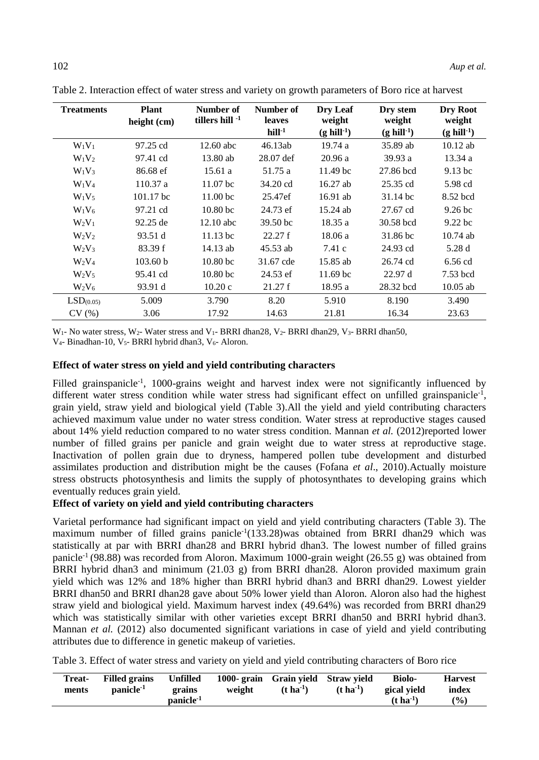| <b>Treatments</b>     | Plant<br>height $(cm)$ | Number of<br>tillers hill $-1$ | Number of<br><b>leaves</b><br>$hill-1$ | Dry Leaf<br>weight<br>$(g\text{ hill}^{-1})$ | Dry stem<br>weight<br>$(g\text{ hill}^{-1})$ | Dry Root<br>weight<br>$(g\text{ hill}^{-1})$ |
|-----------------------|------------------------|--------------------------------|----------------------------------------|----------------------------------------------|----------------------------------------------|----------------------------------------------|
| $W_1V_1$              | 97.25 cd               | $12.60$ abc                    | 46.13ab                                | 19.74a                                       | 35.89 ab                                     | $10.12$ ab                                   |
| $W_1V_2$              | 97.41 cd               | 13.80 ab                       | 28.07 def                              | 20.96a                                       | 39.93a                                       | 13.34a                                       |
| $W_1V_3$              | 86.68 ef               | 15.61a                         | 51.75 a                                | 11.49 <sub>bc</sub>                          | 27.86 bcd                                    | 9.13 bc                                      |
| $W_1V_4$              | 110.37 a               | 11.07 <sub>bc</sub>            | 34.20 cd                               | $16.27$ ab                                   | 25.35 cd                                     | 5.98 cd                                      |
| $W_1V_5$              | $101.17$ bc            | 11.00 <sub>bc</sub>            | 25.47ef                                | $16.91$ ab                                   | $31.14 \text{ bc}$                           | 8.52 bcd                                     |
| $W_1V_6$              | 97.21 cd               | 10.80 <sub>bc</sub>            | 24.73 ef                               | 15.24 ab                                     | 27.67 cd                                     | 9.26 <sub>bc</sub>                           |
| $W_2V_1$              | 92.25 de               | $12.10$ abc                    | 39.50 bc                               | 18.35a                                       | 30.58 bcd                                    | 9.22 bc                                      |
| $W_2V_2$              | 93.51 d                | $11.13$ bc                     | 22.27 f                                | 18.06a                                       | 31.86 bc                                     | $10.74$ ab                                   |
| $W_2V_3$              | 83.39 f                | $14.13$ ab                     | 45.53 ab                               | 7.41c                                        | 24.93 cd                                     | 5.28 d                                       |
| $W_2V_4$              | 103.60 b               | 10.80 <sub>bc</sub>            | 31.67 cde                              | 15.85 ab                                     | 26.74 cd                                     | 6.56 cd                                      |
| $W_2V_5$              | 95.41 cd               | 10.80 <sub>bc</sub>            | 24.53 ef                               | $11.69$ bc                                   | 22.97d                                       | 7.53 bcd                                     |
| $W_2V_6$              | 93.91 d                | 10.20c                         | 21.27 f                                | 18.95 a                                      | 28.32 bcd                                    | $10.05$ ab                                   |
| LSD <sub>(0.05)</sub> | 5.009                  | 3.790                          | 8.20                                   | 5.910                                        | 8.190                                        | 3.490                                        |
| CV(%)                 | 3.06                   | 17.92                          | 14.63                                  | 21.81                                        | 16.34                                        | 23.63                                        |

Table 2. Interaction effect of water stress and variety on growth parameters of Boro rice at harvest

W<sub>1</sub>- No water stress, W<sub>2</sub>- Water stress and V<sub>1</sub>- BRRI dhan28, V<sub>2</sub>- BRRI dhan29, V<sub>3</sub>- BRRI dhan50,

V<sub>4</sub>- Binadhan-10, V<sub>5</sub>- BRRI hybrid dhan3, V<sub>6</sub>- Aloron.

#### **Effect of water stress on yield and yield contributing characters**

Filled grainspanicle<sup>-1</sup>, 1000-grains weight and harvest index were not significantly influenced by different water stress condition while water stress had significant effect on unfilled grainspanicle<sup>-1</sup>, grain yield, straw yield and biological yield (Table 3).All the yield and yield contributing characters achieved maximum value under no water stress condition. Water stress at reproductive stages caused about 14% yield reduction compared to no water stress condition. Mannan *et al.* (2012)reported lower number of filled grains per panicle and grain weight due to water stress at reproductive stage. Inactivation of pollen grain due to dryness, hampered pollen tube development and disturbed assimilates production and distribution might be the causes (Fofana *et al*., 2010).Actually moisture stress obstructs photosynthesis and limits the supply of photosynthates to developing grains which eventually reduces grain yield.

### **Effect of variety on yield and yield contributing characters**

Varietal performance had significant impact on yield and yield contributing characters (Table 3). The maximum number of filled grains panicle<sup>-1</sup> $(133.28)$ was obtained from BRRI dhan29 which was statistically at par with BRRI dhan28 and BRRI hybrid dhan3. The lowest number of filled grains panicle-1 (98.88) was recorded from Aloron. Maximum 1000-grain weight (26.55 g) was obtained from BRRI hybrid dhan3 and minimum (21.03 g) from BRRI dhan28. Aloron provided maximum grain yield which was 12% and 18% higher than BRRI hybrid dhan3 and BRRI dhan29. Lowest yielder BRRI dhan50 and BRRI dhan28 gave about 50% lower yield than Aloron. Aloron also had the highest straw yield and biological yield. Maximum harvest index (49.64%) was recorded from BRRI dhan29 which was statistically similar with other varieties except BRRI dhan50 and BRRI hybrid dhan3. Mannan *et al.* (2012) also documented significant variations in case of yield and yield contributing attributes due to difference in genetic makeup of varieties.

Table 3. Effect of water stress and variety on yield and yield contributing characters of Boro rice

| Treat-<br>ments | <b>Filled grains</b><br>$panicle-1$ | Unfilled<br>grains    | weight | 1000-grain Grain vield Straw vield<br>$(t \text{ ha}^{-1})$ | $(t \, \text{ha}^{-1})$ | <b>Biolo-</b><br>gical vield | <b>Harvest</b><br>index |
|-----------------|-------------------------------------|-----------------------|--------|-------------------------------------------------------------|-------------------------|------------------------------|-------------------------|
|                 |                                     | panicle <sup>-1</sup> |        |                                                             |                         | $(t \text{ ha}^{-1})$        | (%)                     |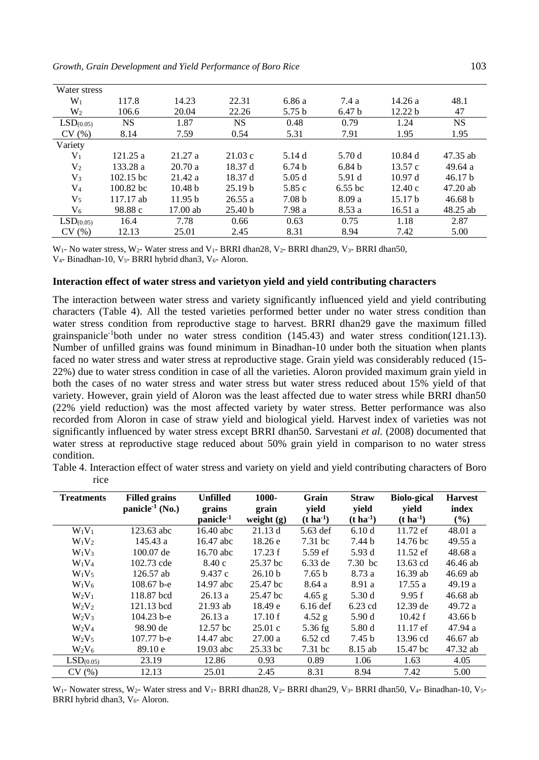| Water stress          |             |                    |                    |                   |                   |                    |                    |
|-----------------------|-------------|--------------------|--------------------|-------------------|-------------------|--------------------|--------------------|
| $W_1$                 | 117.8       | 14.23              | 22.31              | 6.86 a            | 7.4a              | 14.26a             | 48.1               |
| $W_2$                 | 106.6       | 20.04              | 22.26              | 5.75 <sub>b</sub> | 6.47 <sub>b</sub> | 12.22 b            | 47                 |
| LSD <sub>(0.05)</sub> | <b>NS</b>   | 1.87               | NS.                | 0.48              | 0.79              | 1.24               | NS.                |
| CV(%)                 | 8.14        | 7.59               | 0.54               | 5.31              | 7.91              | 1.95               | 1.95               |
| Variety               |             |                    |                    |                   |                   |                    |                    |
| V <sub>1</sub>        | 121.25a     | 21.27a             | 21.03c             | 5.14 d            | 5.70 d            | 10.84d             | 47.35 ab           |
| V <sub>2</sub>        | 133.28 a    | 20.70a             | 18.37 d            | 6.74 <sub>b</sub> | 6.84 <sub>b</sub> | 13.57c             | 49.64 a            |
| $V_3$                 | $102.15$ bc | 21.42a             | 18.37 d            | 5.05d             | 5.91 d            | 10.97d             | 46.17 <sub>b</sub> |
| $\rm V_4$             | $100.82$ bc | 10.48 <sub>b</sub> | 25.19 <sub>b</sub> | 5.85 c            | $6.55$ bc         | 12.40c             | 47.20ab            |
| $V_5$                 | 117.17 ab   | 11.95 b            | 26.55a             | 7.08 <sub>b</sub> | 8.09a             | 15.17 <sub>b</sub> | 46.68 b            |
| $\rm V_6$             | 98.88 c     | $17.00$ ab         | 25.40 <sub>b</sub> | 7.98 a            | 8.53a             | 16.51a             | $48.25$ ab         |
| LSD <sub>(0.05)</sub> | 16.4        | 7.78               | 0.66               | 0.63              | 0.75              | 1.18               | 2.87               |
| CV(%)                 | 12.13       | 25.01              | 2.45               | 8.31              | 8.94              | 7.42               | 5.00               |

 $W_1$ - No water stress,  $W_2$ - Water stress and  $V_1$ - BRRI dhan28,  $V_2$ - BRRI dhan29,  $V_3$ - BRRI dhan50, V<sub>4</sub>- Binadhan-10, V<sub>5</sub>- BRRI hybrid dhan3, V<sub>6</sub>- Aloron.

#### **Interaction effect of water stress and varietyon yield and yield contributing characters**

The interaction between water stress and variety significantly influenced yield and yield contributing characters (Table 4). All the tested varieties performed better under no water stress condition than water stress condition from reproductive stage to harvest. BRRI dhan29 gave the maximum filled grainspanicle-1both under no water stress condition (145.43) and water stress condition(121.13). Number of unfilled grains was found minimum in Binadhan-10 under both the situation when plants faced no water stress and water stress at reproductive stage. Grain yield was considerably reduced (15- 22%) due to water stress condition in case of all the varieties. Aloron provided maximum grain yield in both the cases of no water stress and water stress but water stress reduced about 15% yield of that variety. However, grain yield of Aloron was the least affected due to water stress while BRRI dhan50 (22% yield reduction) was the most affected variety by water stress. Better performance was also recorded from Aloron in case of straw yield and biological yield. Harvest index of varieties was not significantly influenced by water stress except BRRI dhan50. Sarvestani *et al.* (2008) documented that water stress at reproductive stage reduced about 50% grain yield in comparison to no water stress condition.

Table 4. Interaction effect of water stress and variety on yield and yield contributing characters of Boro rice

| <b>Treatments</b>     | <b>Filled grains</b>        | <b>Unfilled</b>       | 1000-              | Grain             | <b>Straw</b>      | <b>Biolo-gical</b> | <b>Harvest</b> |
|-----------------------|-----------------------------|-----------------------|--------------------|-------------------|-------------------|--------------------|----------------|
|                       | panicle <sup>-1</sup> (No.) | grains                | grain              | yield             | yield             | vield              | index          |
|                       |                             | panicle <sup>-1</sup> | weight $(g)$       | $(t \, ha^{-1})$  | $(t \, ha^{-1})$  | $(t \, ha^{-1})$   | (%)            |
| $W_1V_1$              | 123.63 abc                  | 16.40 abc             | 21.13 d            | 5.63 def          | 6.10d             | 11.72 ef           | 48.01a         |
| $W_1V_2$              | 145.43 a                    | 16.47 abc             | 18.26 e            | $7.31$ bc         | 7.44 b            | 14.76 bc           | 49.55a         |
| $W_1V_3$              | 100.07 de                   | 16.70 abc             | 17.23 f            | $5.59$ ef         | 5.93 d            | $11.52 \text{ ef}$ | 48.68 a        |
| $W_1V_4$              | 102.73 cde                  | 8.40c                 | 25.37 bc           | 6.33 de           | 7.30 bc           | 13.63 cd           | 46.46 ab       |
| $W_1V_5$              | $126.57$ ab                 | 9.437c                | 26.10 <sub>b</sub> | 7.65 <sub>b</sub> | 8.73 a            | 16.39 ab           | $46.69$ ab     |
| $W_1V_6$              | $108.67$ b-e                | 14.97 abc             | 25.47 bc           | 8.64a             | 8.91 a            | 17.55a             | 49.19a         |
| $W_2V_1$              | 118.87 bcd                  | 26.13a                | 25.47 bc           | $4.65$ g          | 5.30 d            | 9.95 f             | $46.68$ ab     |
| $W_2V_2$              | 121.13 bcd                  | $21.93$ ab            | 18.49 e            | $6.16$ def        | $6.23$ cd         | 12.39 de           | 49.72 a        |
| $W_2V_3$              | $104.23$ b-e                | 26.13a                | 17.10 f            | $4.52$ g          | 5.90d             | 10.42 f            | 43.66 b        |
| $W_2V_4$              | 98.90 de                    | 12.57 <sub>bc</sub>   | 25.01 c            | $5.36$ fg         | 5.80 d            | $11.17 \text{ ef}$ | 47.94 a        |
| $W_2V_5$              | 107.77 b-e                  | 14.47 abc             | 27.00a             | 6.52 cd           | 7.45 <sub>b</sub> | 13.96 cd           | 46.67 ab       |
| $W_2V_6$              | 89.10e                      | $19.03$ abc           | 25.33 bc           | $7.31$ bc         | 8.15 ab           | 15.47 bc           | 47.32 ab       |
| LSD <sub>(0.05)</sub> | 23.19                       | 12.86                 | 0.93               | 0.89              | 1.06              | 1.63               | 4.05           |
| CV(%)                 | 12.13                       | 25.01                 | 2.45               | 8.31              | 8.94              | 7.42               | 5.00           |

 $W_1$ - Nowater stress, W<sub>2</sub>- Water stress and V<sub>1</sub>- BRRI dhan28, V<sub>2</sub>- BRRI dhan29, V<sub>3</sub>- BRRI dhan50, V<sub>4</sub>- Binadhan-10, V<sub>5</sub>-BRRI hybrid dhan3,  $V_6$ - Aloron.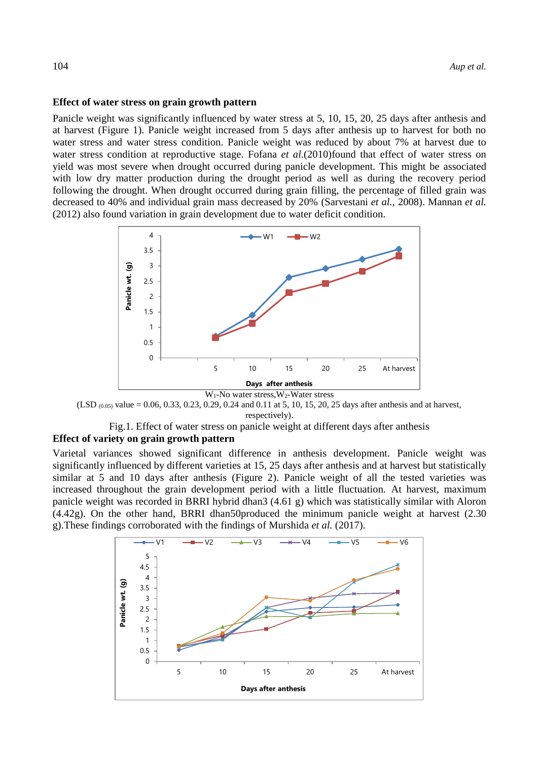#### **Effect of water stress on grain growth pattern**

Panicle weight was significantly influenced by water stress at 5, 10, 15, 20, 25 days after anthesis and at harvest (Figure 1). Panicle weight increased from 5 days after anthesis up to harvest for both no water stress and water stress condition. Panicle weight was reduced by about 7% at harvest due to water stress condition at reproductive stage. Fofana *et al.*(2010)found that effect of water stress on yield was most severe when drought occurred during panicle development. This might be associated with low dry matter production during the drought period as well as during the recovery period following the drought. When drought occurred during grain filling, the percentage of filled grain was decreased to 40% and individual grain mass decreased by 20% (Sarvestani *et al.,* 2008). Mannan *et al.* (2012) also found variation in grain development due to water deficit condition.





Fig.1. Effect of water stress on panicle weight at different days after anthesis **Effect of variety on grain growth pattern**

Varietal variances showed significant difference in anthesis development. Panicle weight was significantly influenced by different varieties at 15, 25 days after anthesis and at harvest but statistically similar at 5 and 10 days after anthesis (Figure 2). Panicle weight of all the tested varieties was increased throughout the grain development period with a little fluctuation. At harvest, maximum panicle weight was recorded in BRRI hybrid dhan3 (4.61 g) which was statistically similar with Aloron (4.42g). On the other hand, BRRI dhan50produced the minimum panicle weight at harvest (2.30 g).These findings corroborated with the findings of Murshida *et al.* (2017).

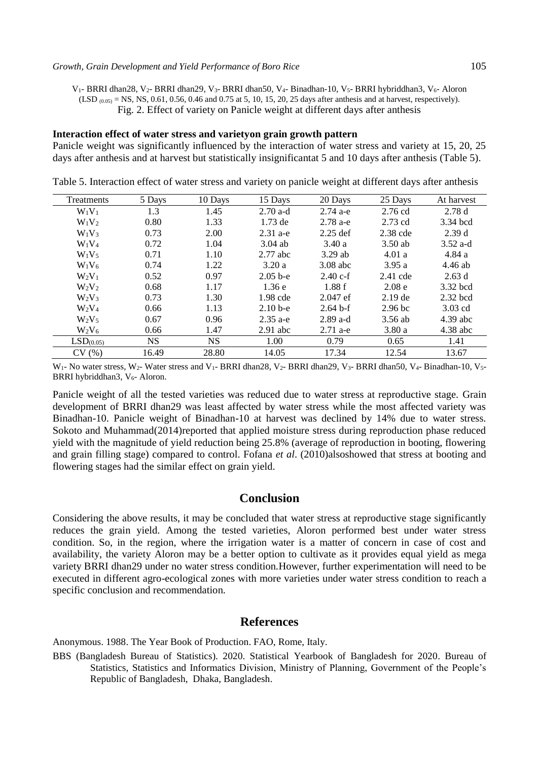V<sub>1</sub>- BRRI dhan28, V<sub>2</sub>- BRRI dhan29, V<sub>3</sub>- BRRI dhan50, V<sub>4</sub>- Binadhan-10, V<sub>5</sub>- BRRI hybriddhan3, V<sub>6</sub>- Aloron  $(LSD_{(0.05)} =$  NS, NS, 0.61, 0.56, 0.46 and 0.75 at 5, 10, 15, 20, 25 days after anthesis and at harvest, respectively). Fig. 2. Effect of variety on Panicle weight at different days after anthesis

#### **Interaction effect of water stress and varietyon grain growth pattern**

Panicle weight was significantly influenced by the interaction of water stress and variety at 15, 20, 25 days after anthesis and at harvest but statistically insignificantat 5 and 10 days after anthesis (Table 5).

| Treatments            | 5 Days    | 10 Davs   | 15 Days    | 20 Days    | 25 Days            | At harvest |
|-----------------------|-----------|-----------|------------|------------|--------------------|------------|
| $W_1V_1$              | 1.3       | 1.45      | $2.70$ a-d | $2.74a-e$  | $2.76$ cd          | 2.78d      |
| $W_1V_2$              | 0.80      | 1.33      | $1.73$ de  | $2.78$ a-e | $2.73$ cd          | 3.34 bcd   |
| $W_1V_3$              | 0.73      | 2.00      | $2.31$ a-e | $2.25$ def | $2.38$ cde         | 2.39d      |
| $W_1V_4$              | 0.72      | 1.04      | $3.04$ ab  | 3.40a      | $3.50$ ab          | $3.52$ a-d |
| $W_1V_5$              | 0.71      | 1.10      | $2.77$ abc | $3.29$ ab  | 4.01a              | 4.84 a     |
| $W_1V_6$              | 0.74      | 1.22      | 3.20a      | $3.08$ abc | 3.95a              | $4.46$ ab  |
| $W_2V_1$              | 0.52      | 0.97      | $2.05b-e$  | $2.40 c-f$ | $2.41$ cde         | 2.63d      |
| $W_2V_2$              | 0.68      | 1.17      | 1.36e      | 1.88f      | 2.08 <sub>e</sub>  | 3.32 bcd   |
| $W_2V_3$              | 0.73      | 1.30      | 1.98 cde   | $2.047$ ef | $2.19$ de          | $2.32$ bcd |
| $W_2V_4$              | 0.66      | 1.13      | $2.10b-e$  | $2.64 b-f$ | 2.96 <sub>bc</sub> | $3.03$ cd  |
| $W_2V_5$              | 0.67      | 0.96      | $2.35$ a-e | $2.89$ a-d | 3.56 ab            | $4.39$ abc |
| $W_2V_6$              | 0.66      | 1.47      | $2.91$ abc | $2.71$ a-e | 3.80a              | $4.38$ abc |
| LSD <sub>(0.05)</sub> | <b>NS</b> | <b>NS</b> | 1.00       | 0.79       | 0.65               | 1.41       |
| CV(%)                 | 16.49     | 28.80     | 14.05      | 17.34      | 12.54              | 13.67      |

Table 5. Interaction effect of water stress and variety on panicle weight at different days after anthesis

W<sub>1</sub>- No water stress, W<sub>2</sub>- Water stress and V<sub>1</sub>- BRRI dhan28, V<sub>2</sub>- BRRI dhan29, V<sub>3</sub>- BRRI dhan50, V<sub>4</sub>- Binadhan-10, V<sub>5</sub>-BRRI hybriddhan3, V<sub>6</sub>- Aloron.

Panicle weight of all the tested varieties was reduced due to water stress at reproductive stage. Grain development of BRRI dhan29 was least affected by water stress while the most affected variety was Binadhan-10. Panicle weight of Binadhan-10 at harvest was declined by 14% due to water stress. Sokoto and Muhammad(2014)reported that applied moisture stress during reproduction phase reduced yield with the magnitude of yield reduction being 25.8% (average of reproduction in booting, flowering and grain filling stage) compared to control. Fofana *et al*. (2010)alsoshowed that stress at booting and flowering stages had the similar effect on grain yield.

# **Conclusion**

Considering the above results, it may be concluded that water stress at reproductive stage significantly reduces the grain yield. Among the tested varieties, Aloron performed best under water stress condition. So, in the region, where the irrigation water is a matter of concern in case of cost and availability, the variety Aloron may be a better option to cultivate as it provides equal yield as mega variety BRRI dhan29 under no water stress condition.However, further experimentation will need to be executed in different agro-ecological zones with more varieties under water stress condition to reach a specific conclusion and recommendation.

# **References**

Anonymous. 1988. The Year Book of Production. FAO, Rome, Italy.

BBS (Bangladesh Bureau of Statistics). 2020. Statistical Yearbook of Bangladesh for 2020. Bureau of Statistics, Statistics and Informatics Division, Ministry of Planning, Government of the People's Republic of Bangladesh, Dhaka, Bangladesh.